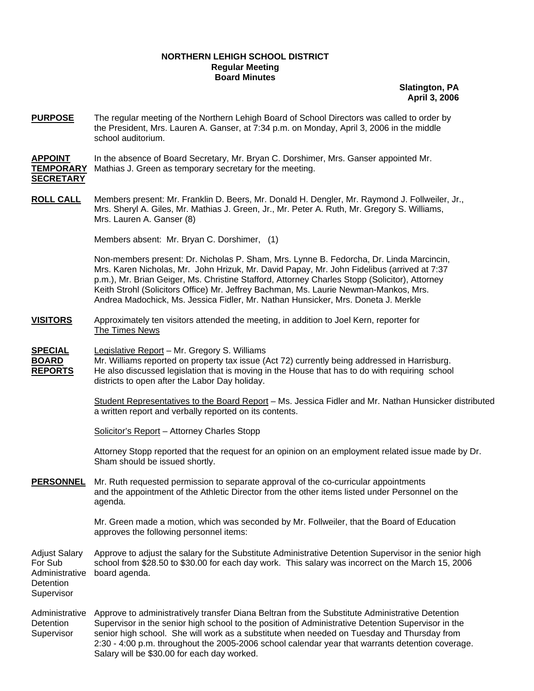## **NORTHERN LEHIGH SCHOOL DISTRICT Regular Meeting Board Minutes**

**Slatington, PA April 3, 2006**

**PURPOSE** The regular meeting of the Northern Lehigh Board of School Directors was called to order by the President, Mrs. Lauren A. Ganser, at 7:34 p.m. on Monday, April 3, 2006 in the middle school auditorium.

**APPOINT** In the absence of Board Secretary, Mr. Bryan C. Dorshimer, Mrs. Ganser appointed Mr. **TEMPORARY** Mathias J. Green as temporary secretary for the meeting. **SECRETARY**

**ROLL CALL** Members present: Mr. Franklin D. Beers, Mr. Donald H. Dengler, Mr. Raymond J. Follweiler, Jr., Mrs. Sheryl A. Giles, Mr. Mathias J. Green, Jr., Mr. Peter A. Ruth, Mr. Gregory S. Williams, Mrs. Lauren A. Ganser (8)

Members absent: Mr. Bryan C. Dorshimer, (1)

Non-members present: Dr. Nicholas P. Sham, Mrs. Lynne B. Fedorcha, Dr. Linda Marcincin, Mrs. Karen Nicholas, Mr. John Hrizuk, Mr. David Papay, Mr. John Fidelibus (arrived at 7:37 p.m.), Mr. Brian Geiger, Ms. Christine Stafford, Attorney Charles Stopp (Solicitor), Attorney Keith Strohl (Solicitors Office) Mr. Jeffrey Bachman, Ms. Laurie Newman-Mankos, Mrs. Andrea Madochick, Ms. Jessica Fidler, Mr. Nathan Hunsicker, Mrs. Doneta J. Merkle

**VISITORS** Approximately ten visitors attended the meeting, in addition to Joel Kern, reporter for The Times News

**SPECIAL** Legislative Report – Mr. Gregory S. Williams

**BOARD** Mr. Williams reported on property tax issue (Act 72) currently being addressed in Harrisburg. **REPORTS** He also discussed legislation that is moving in the House that has to do with requiring school districts to open after the Labor Day holiday.

> Student Representatives to the Board Report – Ms. Jessica Fidler and Mr. Nathan Hunsicker distributed a written report and verbally reported on its contents.

Solicitor's Report - Attorney Charles Stopp

Attorney Stopp reported that the request for an opinion on an employment related issue made by Dr. Sham should be issued shortly.

**PERSONNEL** Mr. Ruth requested permission to separate approval of the co-curricular appointments and the appointment of the Athletic Director from the other items listed under Personnel on the agenda.

> Mr. Green made a motion, which was seconded by Mr. Follweiler, that the Board of Education approves the following personnel items:

Adjust Salary Approve to adjust the salary for the Substitute Administrative Detention Supervisor in the senior high For Sub school from \$28.50 to \$30.00 for each day work. This salary was incorrect on the March 15, 2006 Administrative board agenda. **Detention Supervisor** 

Administrative Approve to administratively transfer Diana Beltran from the Substitute Administrative Detention Detention Supervisor in the senior high school to the position of Administrative Detention Supervisor in the Supervisor senior high school. She will work as a substitute when needed on Tuesday and Thursday from 2:30 - 4:00 p.m. throughout the 2005-2006 school calendar year that warrants detention coverage. Salary will be \$30.00 for each day worked.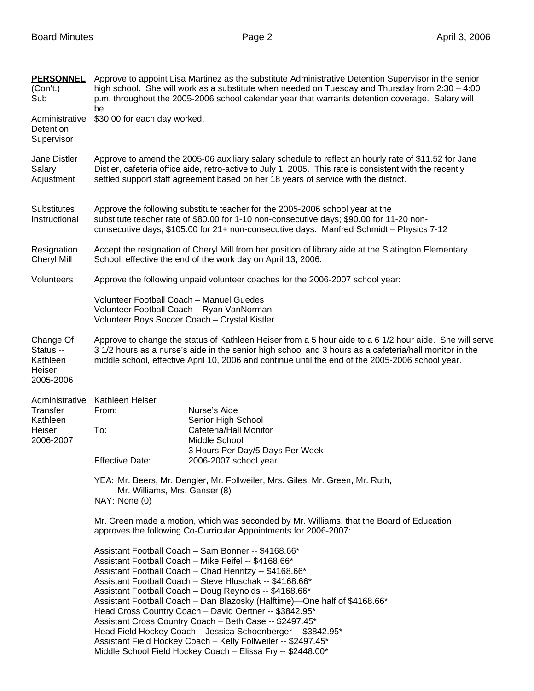| <b>PERSONNEL</b><br>(Con't.)<br>Sub                       | Approve to appoint Lisa Martinez as the substitute Administrative Detention Supervisor in the senior<br>high school. She will work as a substitute when needed on Tuesday and Thursday from $2:30 - 4:00$<br>p.m. throughout the 2005-2006 school calendar year that warrants detention coverage. Salary will                                                                                                                                                                                                                                                                                                                                                                                |                                              |  |
|-----------------------------------------------------------|----------------------------------------------------------------------------------------------------------------------------------------------------------------------------------------------------------------------------------------------------------------------------------------------------------------------------------------------------------------------------------------------------------------------------------------------------------------------------------------------------------------------------------------------------------------------------------------------------------------------------------------------------------------------------------------------|----------------------------------------------|--|
| Administrative<br>Detention<br>Supervisor                 | be<br>\$30.00 for each day worked.                                                                                                                                                                                                                                                                                                                                                                                                                                                                                                                                                                                                                                                           |                                              |  |
| Jane Distler<br>Salary<br>Adjustment                      | Approve to amend the 2005-06 auxiliary salary schedule to reflect an hourly rate of \$11.52 for Jane<br>Distler, cafeteria office aide, retro-active to July 1, 2005. This rate is consistent with the recently<br>settled support staff agreement based on her 18 years of service with the district.                                                                                                                                                                                                                                                                                                                                                                                       |                                              |  |
| Substitutes<br>Instructional                              | Approve the following substitute teacher for the 2005-2006 school year at the<br>substitute teacher rate of \$80.00 for 1-10 non-consecutive days; \$90.00 for 11-20 non-<br>consecutive days; \$105.00 for 21+ non-consecutive days: Manfred Schmidt - Physics 7-12                                                                                                                                                                                                                                                                                                                                                                                                                         |                                              |  |
| Resignation<br>Cheryl Mill                                | Accept the resignation of Cheryl Mill from her position of library aide at the Slatington Elementary<br>School, effective the end of the work day on April 13, 2006.                                                                                                                                                                                                                                                                                                                                                                                                                                                                                                                         |                                              |  |
| Volunteers                                                | Approve the following unpaid volunteer coaches for the 2006-2007 school year:                                                                                                                                                                                                                                                                                                                                                                                                                                                                                                                                                                                                                |                                              |  |
|                                                           | Volunteer Football Coach - Manuel Guedes<br>Volunteer Football Coach - Ryan VanNorman<br>Volunteer Boys Soccer Coach - Crystal Kistler                                                                                                                                                                                                                                                                                                                                                                                                                                                                                                                                                       |                                              |  |
| Change Of<br>Status --<br>Kathleen<br>Heiser<br>2005-2006 | Approve to change the status of Kathleen Heiser from a 5 hour aide to a 6 1/2 hour aide. She will serve<br>3 1/2 hours as a nurse's aide in the senior high school and 3 hours as a cafeteria/hall monitor in the<br>middle school, effective April 10, 2006 and continue until the end of the 2005-2006 school year.                                                                                                                                                                                                                                                                                                                                                                        |                                              |  |
| Administrative                                            | Kathleen Heiser                                                                                                                                                                                                                                                                                                                                                                                                                                                                                                                                                                                                                                                                              |                                              |  |
| Transfer                                                  | From:                                                                                                                                                                                                                                                                                                                                                                                                                                                                                                                                                                                                                                                                                        | Nurse's Aide                                 |  |
| Kathleen<br>Heiser                                        | To:                                                                                                                                                                                                                                                                                                                                                                                                                                                                                                                                                                                                                                                                                          | Senior High School<br>Cafeteria/Hall Monitor |  |
| 2006-2007                                                 |                                                                                                                                                                                                                                                                                                                                                                                                                                                                                                                                                                                                                                                                                              | Middle School                                |  |
|                                                           |                                                                                                                                                                                                                                                                                                                                                                                                                                                                                                                                                                                                                                                                                              | 3 Hours Per Day/5 Days Per Week              |  |
|                                                           | <b>Effective Date:</b>                                                                                                                                                                                                                                                                                                                                                                                                                                                                                                                                                                                                                                                                       | 2006-2007 school year.                       |  |
|                                                           | YEA: Mr. Beers, Mr. Dengler, Mr. Follweiler, Mrs. Giles, Mr. Green, Mr. Ruth,<br>Mr. Williams, Mrs. Ganser (8)<br>NAY: None (0)                                                                                                                                                                                                                                                                                                                                                                                                                                                                                                                                                              |                                              |  |
|                                                           |                                                                                                                                                                                                                                                                                                                                                                                                                                                                                                                                                                                                                                                                                              |                                              |  |
|                                                           | Mr. Green made a motion, which was seconded by Mr. Williams, that the Board of Education<br>approves the following Co-Curricular Appointments for 2006-2007:                                                                                                                                                                                                                                                                                                                                                                                                                                                                                                                                 |                                              |  |
|                                                           | Assistant Football Coach - Sam Bonner -- \$4168.66*<br>Assistant Football Coach - Mike Feifel -- \$4168.66*<br>Assistant Football Coach - Chad Henritzy -- \$4168.66*<br>Assistant Football Coach - Steve Hluschak -- \$4168.66*<br>Assistant Football Coach - Doug Reynolds -- \$4168.66*<br>Assistant Football Coach - Dan Blazosky (Halftime)-One half of \$4168.66*<br>Head Cross Country Coach - David Oertner -- \$3842.95*<br>Assistant Cross Country Coach - Beth Case -- \$2497.45*<br>Head Field Hockey Coach - Jessica Schoenberger -- \$3842.95*<br>Assistant Field Hockey Coach - Kelly Follweiler -- \$2497.45*<br>Middle School Field Hockey Coach - Elissa Fry -- \$2448.00* |                                              |  |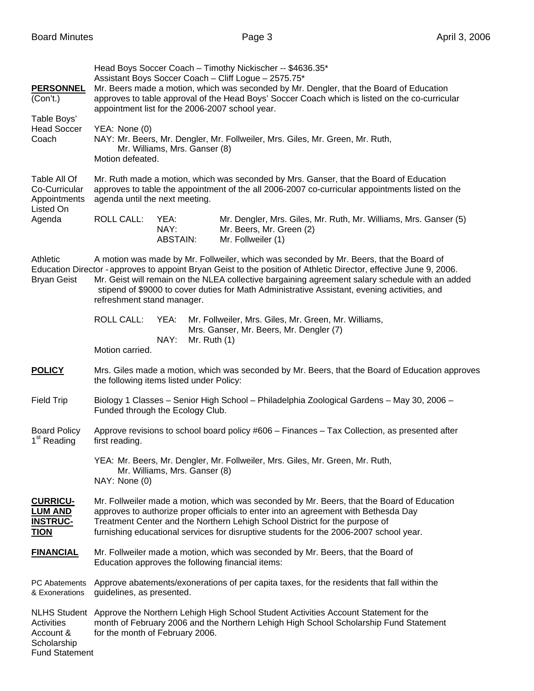| <b>PERSONNEL</b><br>(Con't.)<br>Table Boys'<br><b>Head Soccer</b><br>Coach | Head Boys Soccer Coach - Timothy Nickischer -- \$4636.35*<br>Assistant Boys Soccer Coach - Cliff Logue - 2575.75*<br>Mr. Beers made a motion, which was seconded by Mr. Dengler, that the Board of Education<br>approves to table approval of the Head Boys' Soccer Coach which is listed on the co-curricular<br>appointment list for the 2006-2007 school year.<br>YEA: None (0)<br>NAY: Mr. Beers, Mr. Dengler, Mr. Follweiler, Mrs. Giles, Mr. Green, Mr. Ruth,<br>Mr. Williams, Mrs. Ganser (8)<br>Motion defeated. |  |  |  |  |
|----------------------------------------------------------------------------|--------------------------------------------------------------------------------------------------------------------------------------------------------------------------------------------------------------------------------------------------------------------------------------------------------------------------------------------------------------------------------------------------------------------------------------------------------------------------------------------------------------------------|--|--|--|--|
| Table All Of<br>Co-Curricular<br>Appointments<br>Listed On<br>Agenda       | Mr. Ruth made a motion, which was seconded by Mrs. Ganser, that the Board of Education<br>approves to table the appointment of the all 2006-2007 co-curricular appointments listed on the<br>agenda until the next meeting.                                                                                                                                                                                                                                                                                              |  |  |  |  |
|                                                                            | <b>ROLL CALL:</b><br>YEA:<br>Mr. Dengler, Mrs. Giles, Mr. Ruth, Mr. Williams, Mrs. Ganser (5)<br>NAY:<br>Mr. Beers, Mr. Green (2)<br><b>ABSTAIN:</b><br>Mr. Follweiler (1)                                                                                                                                                                                                                                                                                                                                               |  |  |  |  |
| Athletic<br><b>Bryan Geist</b>                                             | A motion was made by Mr. Follweiler, which was seconded by Mr. Beers, that the Board of<br>Education Director - approves to appoint Bryan Geist to the position of Athletic Director, effective June 9, 2006.<br>Mr. Geist will remain on the NLEA collective bargaining agreement salary schedule with an added<br>stipend of \$9000 to cover duties for Math Administrative Assistant, evening activities, and<br>refreshment stand manager.                                                                           |  |  |  |  |
|                                                                            | <b>ROLL CALL:</b><br>YEA:<br>Mr. Follweiler, Mrs. Giles, Mr. Green, Mr. Williams,<br>Mrs. Ganser, Mr. Beers, Mr. Dengler (7)<br>NAY:<br>Mr. Ruth $(1)$<br>Motion carried.                                                                                                                                                                                                                                                                                                                                                |  |  |  |  |
| <b>POLICY</b>                                                              | Mrs. Giles made a motion, which was seconded by Mr. Beers, that the Board of Education approves<br>the following items listed under Policy:                                                                                                                                                                                                                                                                                                                                                                              |  |  |  |  |
| <b>Field Trip</b>                                                          | Biology 1 Classes - Senior High School - Philadelphia Zoological Gardens - May 30, 2006 -<br>Funded through the Ecology Club.                                                                                                                                                                                                                                                                                                                                                                                            |  |  |  |  |
| <b>Board Policy</b><br>1 <sup>st</sup> Reading                             | Approve revisions to school board policy #606 - Finances - Tax Collection, as presented after<br>first reading.                                                                                                                                                                                                                                                                                                                                                                                                          |  |  |  |  |
|                                                                            | YEA: Mr. Beers, Mr. Dengler, Mr. Follweiler, Mrs. Giles, Mr. Green, Mr. Ruth,<br>Mr. Williams, Mrs. Ganser (8)<br>NAY: None (0)                                                                                                                                                                                                                                                                                                                                                                                          |  |  |  |  |
| <b>CURRICU-</b><br><b>LUM AND</b><br><b>INSTRUC-</b><br><u>TION</u>        | Mr. Follweiler made a motion, which was seconded by Mr. Beers, that the Board of Education<br>approves to authorize proper officials to enter into an agreement with Bethesda Day<br>Treatment Center and the Northern Lehigh School District for the purpose of<br>furnishing educational services for disruptive students for the 2006-2007 school year.                                                                                                                                                               |  |  |  |  |
| <b>FINANCIAL</b>                                                           | Mr. Follweiler made a motion, which was seconded by Mr. Beers, that the Board of<br>Education approves the following financial items:                                                                                                                                                                                                                                                                                                                                                                                    |  |  |  |  |
| PC Abatements<br>& Exonerations                                            | Approve abatements/exonerations of per capita taxes, for the residents that fall within the<br>guidelines, as presented.                                                                                                                                                                                                                                                                                                                                                                                                 |  |  |  |  |
| Activities<br>Account &<br>Scholarship<br><b>Fund Statement</b>            | NLHS Student Approve the Northern Lehigh High School Student Activities Account Statement for the<br>month of February 2006 and the Northern Lehigh High School Scholarship Fund Statement<br>for the month of February 2006.                                                                                                                                                                                                                                                                                            |  |  |  |  |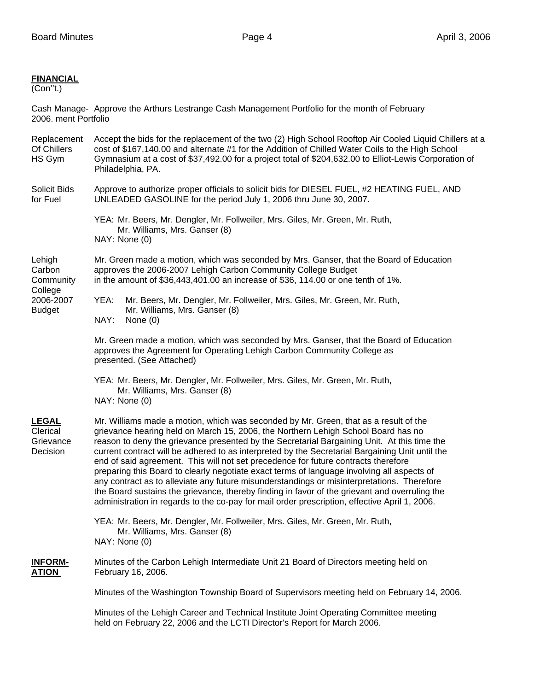## **FINANCIAL**

(Con''t.)

Cash Manage- Approve the Arthurs Lestrange Cash Management Portfolio for the month of February 2006. ment Portfolio

Replacement Accept the bids for the replacement of the two (2) High School Rooftop Air Cooled Liquid Chillers at a<br>Of Chillers cost of \$167.140.00 and alternate #1 for the Addition of Chilled Water Coils to the High School cost of \$167,140.00 and alternate #1 for the Addition of Chilled Water Coils to the High School HS Gym Gymnasium at a cost of \$37,492.00 for a project total of \$204,632.00 to Elliot-Lewis Corporation of Philadelphia, PA. Solicit Bids Approve to authorize proper officials to solicit bids for DIESEL FUEL, #2 HEATING FUEL, AND for Fuel UNLEADED GASOLINE for the period July 1, 2006 thru June 30, 2007. YEA: Mr. Beers, Mr. Dengler, Mr. Follweiler, Mrs. Giles, Mr. Green, Mr. Ruth, Mr. Williams, Mrs. Ganser (8) NAY: None (0) Lehigh Mr. Green made a motion, which was seconded by Mrs. Ganser, that the Board of Education Carbon approves the 2006-2007 Lehigh Carbon Community College Budget Community in the amount of \$36,443,401.00 an increase of \$36, 114.00 or one tenth of 1%. **College** 2006-2007 YEA: Mr. Beers, Mr. Dengler, Mr. Follweiler, Mrs. Giles, Mr. Green, Mr. Ruth, Budget Mr. Williams, Mrs. Ganser (8) NAY: None (0) Mr. Green made a motion, which was seconded by Mrs. Ganser, that the Board of Education approves the Agreement for Operating Lehigh Carbon Community College as presented. (See Attached) YEA: Mr. Beers, Mr. Dengler, Mr. Follweiler, Mrs. Giles, Mr. Green, Mr. Ruth, Mr. Williams, Mrs. Ganser (8) NAY: None (0) **LEGAL** Mr. Williams made a motion, which was seconded by Mr. Green, that as a result of the Clerical grievance hearing held on March 15, 2006, the Northern Lehigh School Board has no Grievance reason to deny the grievance presented by the Secretarial Bargaining Unit. At this time the Decision current contract will be adhered to as interpreted by the Secretarial Bargaining Unit until the end of said agreement. This will not set precedence for future contracts therefore preparing this Board to clearly negotiate exact terms of language involving all aspects of any contract as to alleviate any future misunderstandings or misinterpretations. Therefore

the Board sustains the grievance, thereby finding in favor of the grievant and overruling the administration in regards to the co-pay for mail order prescription, effective April 1, 2006. YEA: Mr. Beers, Mr. Dengler, Mr. Follweiler, Mrs. Giles, Mr. Green, Mr. Ruth,

 Mr. Williams, Mrs. Ganser (8) NAY: None (0)

**INFORM-** Minutes of the Carbon Lehigh Intermediate Unit 21 Board of Directors meeting held on **ATION** February 16, 2006.

Minutes of the Washington Township Board of Supervisors meeting held on February 14, 2006.

Minutes of the Lehigh Career and Technical Institute Joint Operating Committee meeting held on February 22, 2006 and the LCTI Director's Report for March 2006.